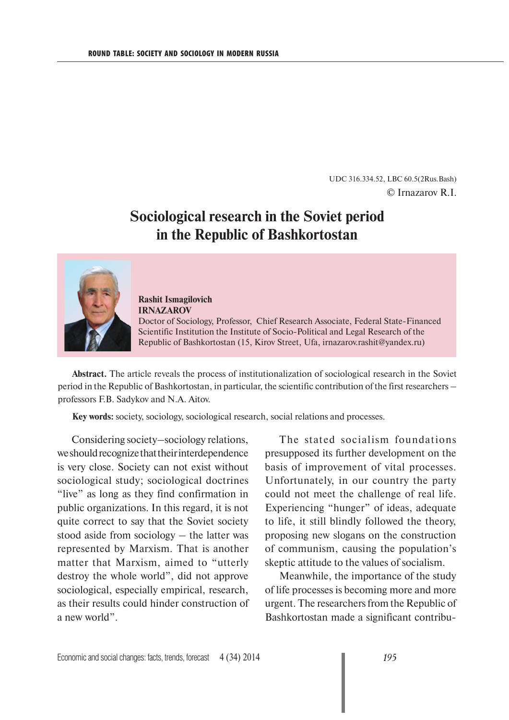UDC 316.334.52, LBC 60.5(2Rus.Bash) © Irnazarov R.I.

## **Sociological research in the Soviet period in the Republic of Bashkortostan**



**Rashit Ismagilovich IRNAZAROV** Doctor of Sociology, Professor, Chief Research Associate, Federal State-Financed Scientific Institution the Institute of Socio-Political and Legal Research of the Republic of Bashkortostan (15, Kirov Street, Ufa, irnazarov.rashit@yandex.ru)

**Abstract.** The article reveals the process of institutionalization of sociological research in the Soviet period in the Republic of Bashkortostan, in particular, the scientific contribution of the first researchers – professors F.B. Sadykov and N.A. Aitov.

**Key words:** society, sociology, sociological research, social relations and processes.

Considering society–sociology relations, we should recognize that their interdependence is very close. Society can not exist without sociological study; sociological doctrines "live" as long as they find confirmation in public organizations. In this regard, it is not quite correct to say that the Soviet society stood aside from sociology – the latter was represented by Marxism. That is another matter that Marxism, aimed to "utterly destroy the whole world", did not approve sociological, especially empirical, research, as their results could hinder construction of a new world".

The stated socialism foundations presupposed its further development on the basis of improvement of vital processes. Unfortunately, in our country the party could not meet the challenge of real life. Experiencing "hunger" of ideas, adequate to life, it still blindly followed the theory, proposing new slogans on the construction of communism, causing the population's skeptic attitude to the values of socialism.

Meanwhile, the importance of the study of life processes is becoming more and more urgent. The researchers from the Republic of Bashkortostan made a significant contribu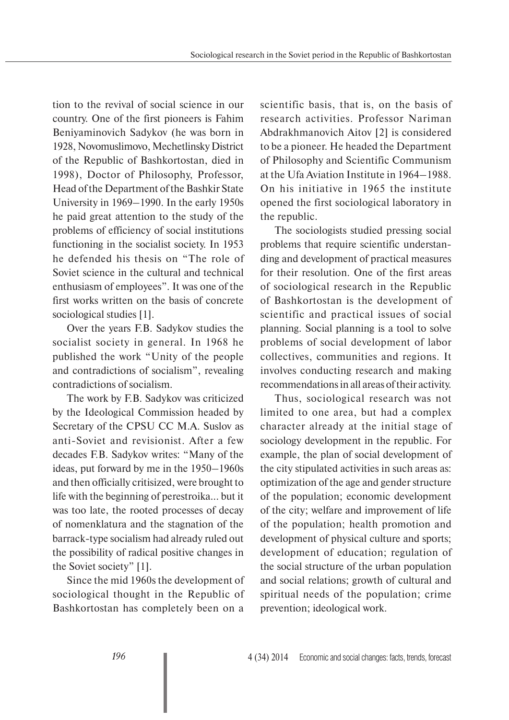tion to the revival of social science in our country. One of the first pioneers is Fahim Beniyaminovich Sadykov (he was born in 1928, Novomuslimovo, Mechetlinsky District of the Republic of Bashkortostan, died in 1998), Doctor of Philosophy, Professor, Head of the Department of the Bashkir State University in 1969–1990. In the early 1950s he paid great attention to the study of the problems of efficiency of social institutions functioning in the socialist society. In 1953 he defended his thesis on "The role of Soviet science in the cultural and technical enthusiasm of employees". It was one of the first works written on the basis of concrete sociological studies [1].

Over the years F.B. Sadykov studies the socialist society in general. In 1968 he published the work "Unity of the people and contradictions of socialism", revealing contradictions of socialism.

The work by F.B. Sadykov was criticized by the Ideological Commission headed by Secretary of the CPSU CC M.A. Suslov as anti-Soviet and revisionist. After a few decades F.B. Sadykov writes: "Many of the ideas, put forward by me in the 1950–1960s and then officially critisized, were brought to life with the beginning of perestroika... but it was too late, the rooted processes of decay of nomenklatura and the stagnation of the barrack-type socialism had already ruled out the possibility of radical positive changes in the Soviet society" [1].

Since the mid 1960s the development of sociological thought in the Republic of Bashkortostan has completely been on a

scientific basis, that is, on the basis of research activities. Professor Nariman Abdrakhmanovich Aitov [2] is considered to be a pioneer. He headed the Department of Philosophy and Scientific Communism at the Ufa Aviation Institute in 1964–1988. On his initiative in 1965 the institute opened the first sociological laboratory in the republic.

The sociologists studied pressing social problems that require scientific understanding and development of practical measures for their resolution. One of the first areas of sociological research in the Republic of Bashkortostan is the development of scientific and practical issues of social planning. Social planning is a tool to solve problems of social development of labor collectives, communities and regions. It involves conducting research and making recommendations in all areas of their activity.

Thus, sociological research was not limited to one area, but had a complex character already at the initial stage of sociology development in the republic. For example, the plan of social development of the city stipulated activities in such areas as: optimization of the age and gender structure of the population; economic development of the city; welfare and improvement of life of the population; health promotion and development of physical culture and sports; development of education; regulation of the social structure of the urban population and social relations; growth of cultural and spiritual needs of the population; crime prevention; ideological work.